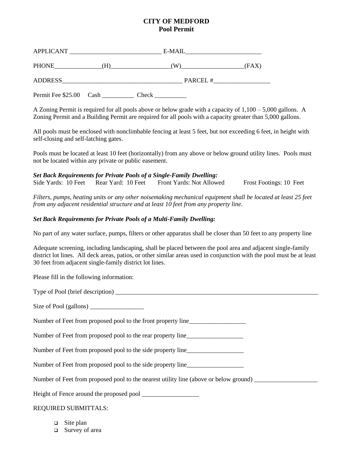## **CITY OF MEDFORD Pool Permit**

| APPLICANT      |         | E-MAIL |       |
|----------------|---------|--------|-------|
| <b>PHONE</b>   | н       | W.     | (FAX) |
| <b>ADDRESS</b> | PARCEL# |        |       |

Permit Fee \$25.00 Cash Check

A Zoning Permit is required for all pools above or below grade with a capacity of 1,100 – 5,000 gallons. A Zoning Permit and a Building Permit are required for all pools with a capacity greater than 5,000 gallons.

All pools must be enclosed with nonclimbable fencing at least 5 feet, but not exceeding 6 feet, in height with self-closing and self-latching gates.

Pools must be located at least 10 feet (horizontally) from any above or below ground utility lines. Pools must not be located within any private or public easement.

*Set Back Requirements for Private Pools of a Single-Family Dwelling:* Side Yards: 10 Feet Rear Yard: 10 Feet Front Yards: Not Allowed Frost Footings: 10 Feet

*Filters, pumps, heating units or any other noisemaking mechanical equipment shall be located at least 25 feet from any adjacent residential structure and at least 10 feet from any property line.*

## *Set Back Requirements for Private Pools of a Multi-Family Dwelling:*

No part of any water surface, pumps, filters or other apparatus shall be closer than 50 feet to any property line

Adequate screening, including landscaping, shall be placed between the pool area and adjacent single-family district lot lines. All deck areas, patios, or other similar areas used in conjunction with the pool must be at least 30 feet from adjacent single-family district lot lines.

Please fill in the following information:

Type of Pool (brief description) \_\_\_\_\_\_\_\_\_\_\_\_\_\_\_\_\_\_\_\_\_\_\_\_\_\_\_\_\_\_\_\_\_\_\_\_\_\_\_\_\_\_\_\_\_\_\_\_\_\_\_\_\_\_\_\_\_\_\_\_\_\_\_\_

Size of Pool (gallons) \_\_\_\_\_\_\_\_\_\_\_\_\_\_\_\_\_

Number of Feet from proposed pool to the front property line

Number of Feet from proposed pool to the rear property line\_\_\_\_\_\_\_\_\_\_\_\_\_\_\_\_\_\_\_\_\_

Number of Feet from proposed pool to the side property line\_\_\_\_\_\_\_\_\_\_\_\_\_\_\_\_\_\_\_\_\_

Number of Feet from proposed pool to the side property line\_\_\_\_\_\_\_\_\_\_\_\_\_\_\_\_\_\_\_\_\_

Number of Feet from proposed pool to the nearest utility line (above or below ground)

Height of Fence around the proposed pool \_\_\_\_\_\_\_\_\_\_\_\_\_\_\_\_\_\_

## REQUIRED SUBMITTALS:

- $\Box$  Site plan
- □ Survey of area